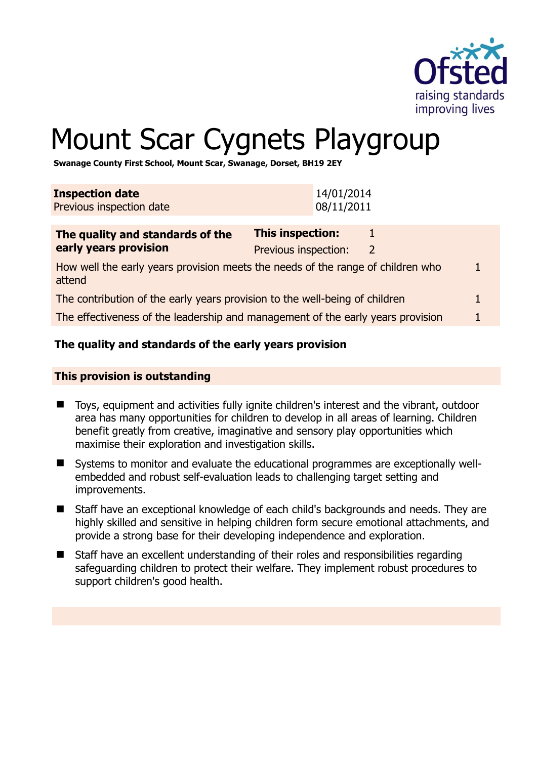

# Mount Scar Cygnets Playgroup

**Swanage County First School, Mount Scar, Swanage, Dorset, BH19 2EY** 

| <b>Inspection date</b><br>Previous inspection date                                        | 14/01/2014<br>08/11/2011                                  |  |  |
|-------------------------------------------------------------------------------------------|-----------------------------------------------------------|--|--|
| The quality and standards of the<br>early years provision                                 | <b>This inspection:</b><br>1<br>Previous inspection:<br>2 |  |  |
| How well the early years provision meets the needs of the range of children who<br>attend |                                                           |  |  |
| The contribution of the early years provision to the well-being of children               |                                                           |  |  |
| The effectiveness of the leadership and management of the early years provision           |                                                           |  |  |
|                                                                                           |                                                           |  |  |

# **The quality and standards of the early years provision**

#### **This provision is outstanding**

- Toys, equipment and activities fully ignite children's interest and the vibrant, outdoor area has many opportunities for children to develop in all areas of learning. Children benefit greatly from creative, imaginative and sensory play opportunities which maximise their exploration and investigation skills.
- Systems to monitor and evaluate the educational programmes are exceptionally wellembedded and robust self-evaluation leads to challenging target setting and improvements.
- Staff have an exceptional knowledge of each child's backgrounds and needs. They are highly skilled and sensitive in helping children form secure emotional attachments, and provide a strong base for their developing independence and exploration.
- Staff have an excellent understanding of their roles and responsibilities regarding safeguarding children to protect their welfare. They implement robust procedures to support children's good health.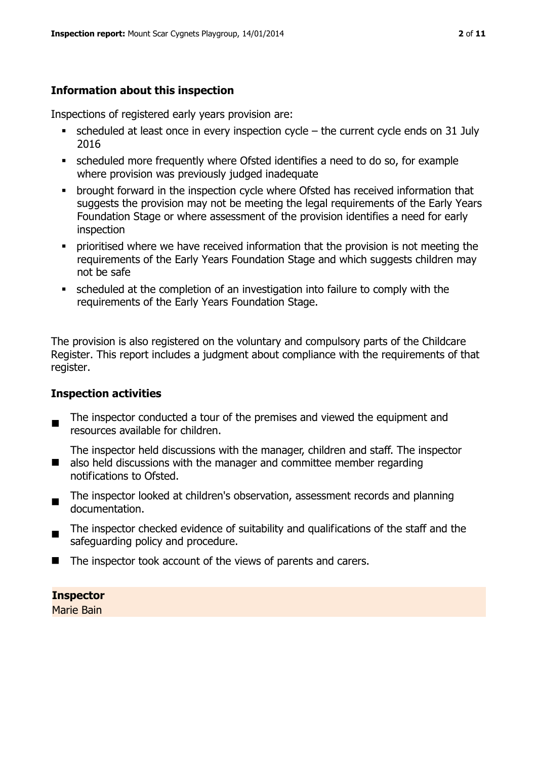# **Information about this inspection**

Inspections of registered early years provision are:

- $\blacksquare$  scheduled at least once in every inspection cycle the current cycle ends on 31 July 2016
- scheduled more frequently where Ofsted identifies a need to do so, for example where provision was previously judged inadequate
- **•** brought forward in the inspection cycle where Ofsted has received information that suggests the provision may not be meeting the legal requirements of the Early Years Foundation Stage or where assessment of the provision identifies a need for early inspection
- **•** prioritised where we have received information that the provision is not meeting the requirements of the Early Years Foundation Stage and which suggests children may not be safe
- scheduled at the completion of an investigation into failure to comply with the requirements of the Early Years Foundation Stage.

The provision is also registered on the voluntary and compulsory parts of the Childcare Register. This report includes a judgment about compliance with the requirements of that register.

# **Inspection activities**

 $\blacksquare$ The inspector conducted a tour of the premises and viewed the equipment and resources available for children.

 $\blacksquare$ The inspector held discussions with the manager, children and staff. The inspector also held discussions with the manager and committee member regarding notifications to Ofsted.

- $\blacksquare$ The inspector looked at children's observation, assessment records and planning documentation.
- The inspector checked evidence of suitability and qualifications of the staff and the safeguarding policy and procedure.
- The inspector took account of the views of parents and carers.

# **Inspector**

Marie Bain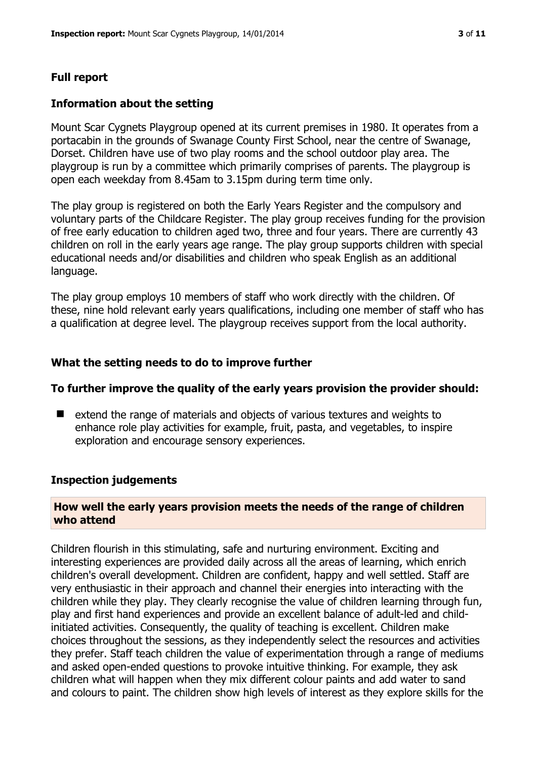# **Full report**

### **Information about the setting**

Mount Scar Cygnets Playgroup opened at its current premises in 1980. It operates from a portacabin in the grounds of Swanage County First School, near the centre of Swanage, Dorset. Children have use of two play rooms and the school outdoor play area. The playgroup is run by a committee which primarily comprises of parents. The playgroup is open each weekday from 8.45am to 3.15pm during term time only.

The play group is registered on both the Early Years Register and the compulsory and voluntary parts of the Childcare Register. The play group receives funding for the provision of free early education to children aged two, three and four years. There are currently 43 children on roll in the early years age range. The play group supports children with special educational needs and/or disabilities and children who speak English as an additional language.

The play group employs 10 members of staff who work directly with the children. Of these, nine hold relevant early years qualifications, including one member of staff who has a qualification at degree level. The playgroup receives support from the local authority.

# **What the setting needs to do to improve further**

#### **To further improve the quality of the early years provision the provider should:**

■ extend the range of materials and objects of various textures and weights to enhance role play activities for example, fruit, pasta, and vegetables, to inspire exploration and encourage sensory experiences.

#### **Inspection judgements**

#### **How well the early years provision meets the needs of the range of children who attend**

Children flourish in this stimulating, safe and nurturing environment. Exciting and interesting experiences are provided daily across all the areas of learning, which enrich children's overall development. Children are confident, happy and well settled. Staff are very enthusiastic in their approach and channel their energies into interacting with the children while they play. They clearly recognise the value of children learning through fun, play and first hand experiences and provide an excellent balance of adult-led and childinitiated activities. Consequently, the quality of teaching is excellent. Children make choices throughout the sessions, as they independently select the resources and activities they prefer. Staff teach children the value of experimentation through a range of mediums and asked open-ended questions to provoke intuitive thinking. For example, they ask children what will happen when they mix different colour paints and add water to sand and colours to paint. The children show high levels of interest as they explore skills for the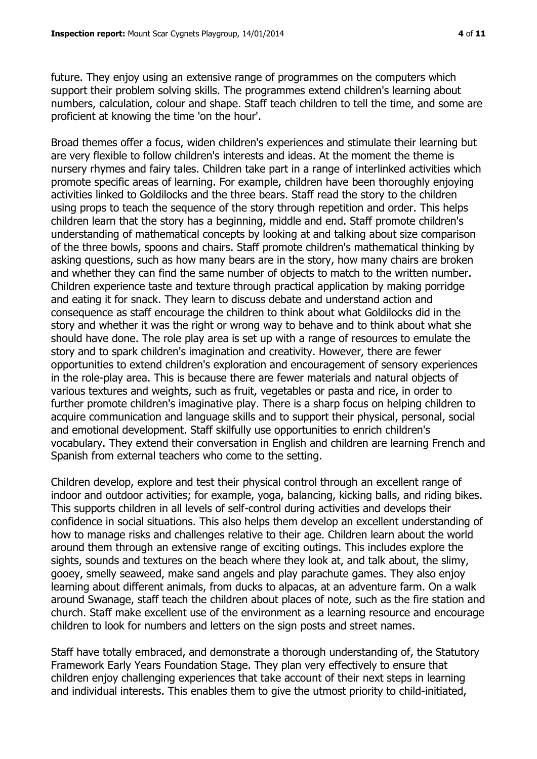future. They enjoy using an extensive range of programmes on the computers which support their problem solving skills. The programmes extend children's learning about numbers, calculation, colour and shape. Staff teach children to tell the time, and some are proficient at knowing the time 'on the hour'.

Broad themes offer a focus, widen children's experiences and stimulate their learning but are very flexible to follow children's interests and ideas. At the moment the theme is nursery rhymes and fairy tales. Children take part in a range of interlinked activities which promote specific areas of learning. For example, children have been thoroughly enjoying activities linked to Goldilocks and the three bears. Staff read the story to the children using props to teach the sequence of the story through repetition and order. This helps children learn that the story has a beginning, middle and end. Staff promote children's understanding of mathematical concepts by looking at and talking about size comparison of the three bowls, spoons and chairs. Staff promote children's mathematical thinking by asking questions, such as how many bears are in the story, how many chairs are broken and whether they can find the same number of objects to match to the written number. Children experience taste and texture through practical application by making porridge and eating it for snack. They learn to discuss debate and understand action and consequence as staff encourage the children to think about what Goldilocks did in the story and whether it was the right or wrong way to behave and to think about what she should have done. The role play area is set up with a range of resources to emulate the story and to spark children's imagination and creativity. However, there are fewer opportunities to extend children's exploration and encouragement of sensory experiences in the role-play area. This is because there are fewer materials and natural objects of various textures and weights, such as fruit, vegetables or pasta and rice, in order to further promote children's imaginative play. There is a sharp focus on helping children to acquire communication and language skills and to support their physical, personal, social and emotional development. Staff skilfully use opportunities to enrich children's vocabulary. They extend their conversation in English and children are learning French and Spanish from external teachers who come to the setting.

Children develop, explore and test their physical control through an excellent range of indoor and outdoor activities; for example, yoga, balancing, kicking balls, and riding bikes. This supports children in all levels of self-control during activities and develops their confidence in social situations. This also helps them develop an excellent understanding of how to manage risks and challenges relative to their age. Children learn about the world around them through an extensive range of exciting outings. This includes explore the sights, sounds and textures on the beach where they look at, and talk about, the slimy, gooey, smelly seaweed, make sand angels and play parachute games. They also enjoy learning about different animals, from ducks to alpacas, at an adventure farm. On a walk around Swanage, staff teach the children about places of note, such as the fire station and church. Staff make excellent use of the environment as a learning resource and encourage children to look for numbers and letters on the sign posts and street names.

Staff have totally embraced, and demonstrate a thorough understanding of, the Statutory Framework Early Years Foundation Stage. They plan very effectively to ensure that children enjoy challenging experiences that take account of their next steps in learning and individual interests. This enables them to give the utmost priority to child-initiated,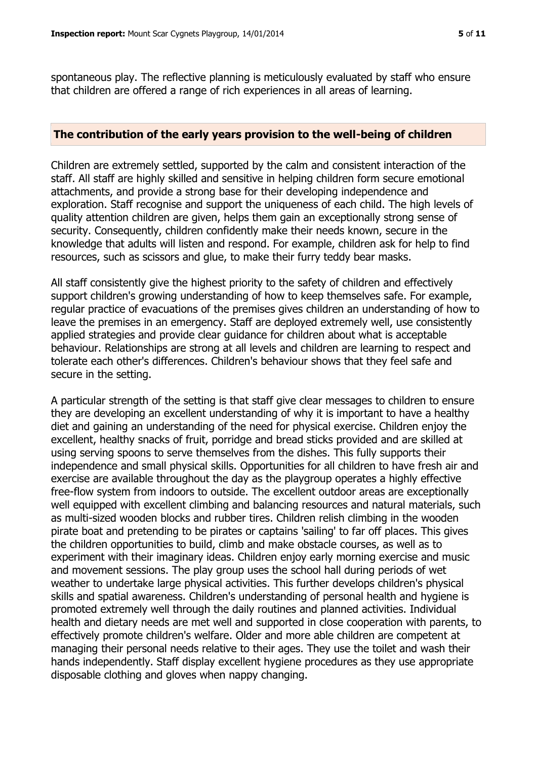spontaneous play. The reflective planning is meticulously evaluated by staff who ensure that children are offered a range of rich experiences in all areas of learning.

#### **The contribution of the early years provision to the well-being of children**

Children are extremely settled, supported by the calm and consistent interaction of the staff. All staff are highly skilled and sensitive in helping children form secure emotional attachments, and provide a strong base for their developing independence and exploration. Staff recognise and support the uniqueness of each child. The high levels of quality attention children are given, helps them gain an exceptionally strong sense of security. Consequently, children confidently make their needs known, secure in the knowledge that adults will listen and respond. For example, children ask for help to find resources, such as scissors and glue, to make their furry teddy bear masks.

All staff consistently give the highest priority to the safety of children and effectively support children's growing understanding of how to keep themselves safe. For example, regular practice of evacuations of the premises gives children an understanding of how to leave the premises in an emergency. Staff are deployed extremely well, use consistently applied strategies and provide clear guidance for children about what is acceptable behaviour. Relationships are strong at all levels and children are learning to respect and tolerate each other's differences. Children's behaviour shows that they feel safe and secure in the setting.

A particular strength of the setting is that staff give clear messages to children to ensure they are developing an excellent understanding of why it is important to have a healthy diet and gaining an understanding of the need for physical exercise. Children enjoy the excellent, healthy snacks of fruit, porridge and bread sticks provided and are skilled at using serving spoons to serve themselves from the dishes. This fully supports their independence and small physical skills. Opportunities for all children to have fresh air and exercise are available throughout the day as the playgroup operates a highly effective free-flow system from indoors to outside. The excellent outdoor areas are exceptionally well equipped with excellent climbing and balancing resources and natural materials, such as multi-sized wooden blocks and rubber tires. Children relish climbing in the wooden pirate boat and pretending to be pirates or captains 'sailing' to far off places. This gives the children opportunities to build, climb and make obstacle courses, as well as to experiment with their imaginary ideas. Children enjoy early morning exercise and music and movement sessions. The play group uses the school hall during periods of wet weather to undertake large physical activities. This further develops children's physical skills and spatial awareness. Children's understanding of personal health and hygiene is promoted extremely well through the daily routines and planned activities. Individual health and dietary needs are met well and supported in close cooperation with parents, to effectively promote children's welfare. Older and more able children are competent at managing their personal needs relative to their ages. They use the toilet and wash their hands independently. Staff display excellent hygiene procedures as they use appropriate disposable clothing and gloves when nappy changing.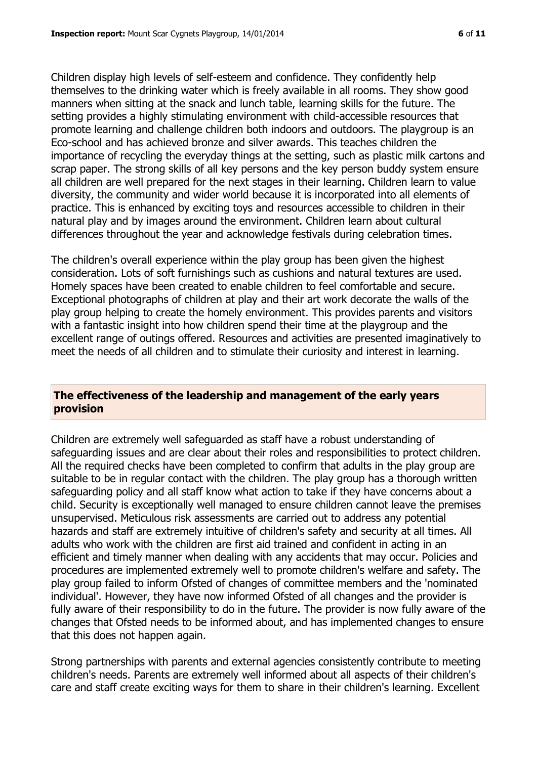Children display high levels of self-esteem and confidence. They confidently help themselves to the drinking water which is freely available in all rooms. They show good manners when sitting at the snack and lunch table, learning skills for the future. The setting provides a highly stimulating environment with child-accessible resources that promote learning and challenge children both indoors and outdoors. The playgroup is an Eco-school and has achieved bronze and silver awards. This teaches children the importance of recycling the everyday things at the setting, such as plastic milk cartons and scrap paper. The strong skills of all key persons and the key person buddy system ensure all children are well prepared for the next stages in their learning. Children learn to value diversity, the community and wider world because it is incorporated into all elements of practice. This is enhanced by exciting toys and resources accessible to children in their natural play and by images around the environment. Children learn about cultural differences throughout the year and acknowledge festivals during celebration times.

The children's overall experience within the play group has been given the highest consideration. Lots of soft furnishings such as cushions and natural textures are used. Homely spaces have been created to enable children to feel comfortable and secure. Exceptional photographs of children at play and their art work decorate the walls of the play group helping to create the homely environment. This provides parents and visitors with a fantastic insight into how children spend their time at the playgroup and the excellent range of outings offered. Resources and activities are presented imaginatively to meet the needs of all children and to stimulate their curiosity and interest in learning.

#### **The effectiveness of the leadership and management of the early years provision**

Children are extremely well safeguarded as staff have a robust understanding of safeguarding issues and are clear about their roles and responsibilities to protect children. All the required checks have been completed to confirm that adults in the play group are suitable to be in regular contact with the children. The play group has a thorough written safeguarding policy and all staff know what action to take if they have concerns about a child. Security is exceptionally well managed to ensure children cannot leave the premises unsupervised. Meticulous risk assessments are carried out to address any potential hazards and staff are extremely intuitive of children's safety and security at all times. All adults who work with the children are first aid trained and confident in acting in an efficient and timely manner when dealing with any accidents that may occur. Policies and procedures are implemented extremely well to promote children's welfare and safety. The play group failed to inform Ofsted of changes of committee members and the 'nominated individual'. However, they have now informed Ofsted of all changes and the provider is fully aware of their responsibility to do in the future. The provider is now fully aware of the changes that Ofsted needs to be informed about, and has implemented changes to ensure that this does not happen again.

Strong partnerships with parents and external agencies consistently contribute to meeting children's needs. Parents are extremely well informed about all aspects of their children's care and staff create exciting ways for them to share in their children's learning. Excellent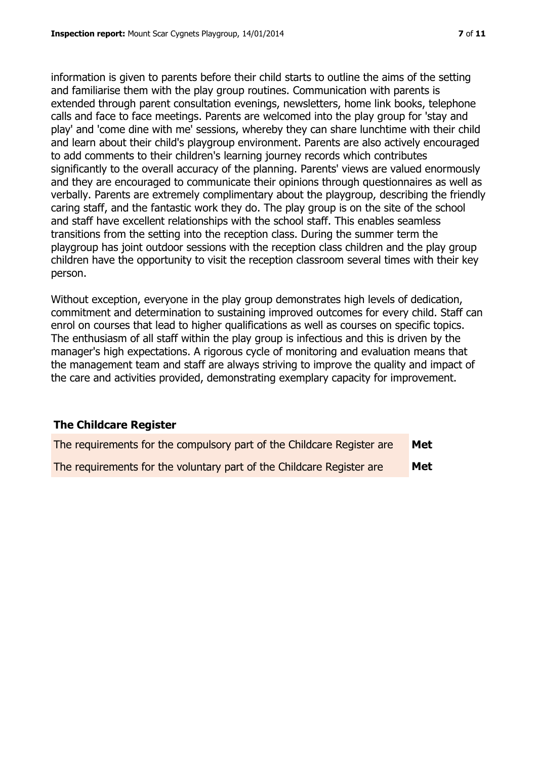and familiarise them with the play group routines. Communication with parents is extended through parent consultation evenings, newsletters, home link books, telephone calls and face to face meetings. Parents are welcomed into the play group for 'stay and play' and 'come dine with me' sessions, whereby they can share lunchtime with their child and learn about their child's playgroup environment. Parents are also actively encouraged to add comments to their children's learning journey records which contributes significantly to the overall accuracy of the planning. Parents' views are valued enormously and they are encouraged to communicate their opinions through questionnaires as well as verbally. Parents are extremely complimentary about the playgroup, describing the friendly caring staff, and the fantastic work they do. The play group is on the site of the school and staff have excellent relationships with the school staff. This enables seamless transitions from the setting into the reception class. During the summer term the playgroup has joint outdoor sessions with the reception class children and the play group children have the opportunity to visit the reception classroom several times with their key person.

Without exception, everyone in the play group demonstrates high levels of dedication, commitment and determination to sustaining improved outcomes for every child. Staff can enrol on courses that lead to higher qualifications as well as courses on specific topics. The enthusiasm of all staff within the play group is infectious and this is driven by the manager's high expectations. A rigorous cycle of monitoring and evaluation means that the management team and staff are always striving to improve the quality and impact of the care and activities provided, demonstrating exemplary capacity for improvement.

# **The Childcare Register**

| The requirements for the compulsory part of the Childcare Register are | Met        |
|------------------------------------------------------------------------|------------|
| The requirements for the voluntary part of the Childcare Register are  | <b>Met</b> |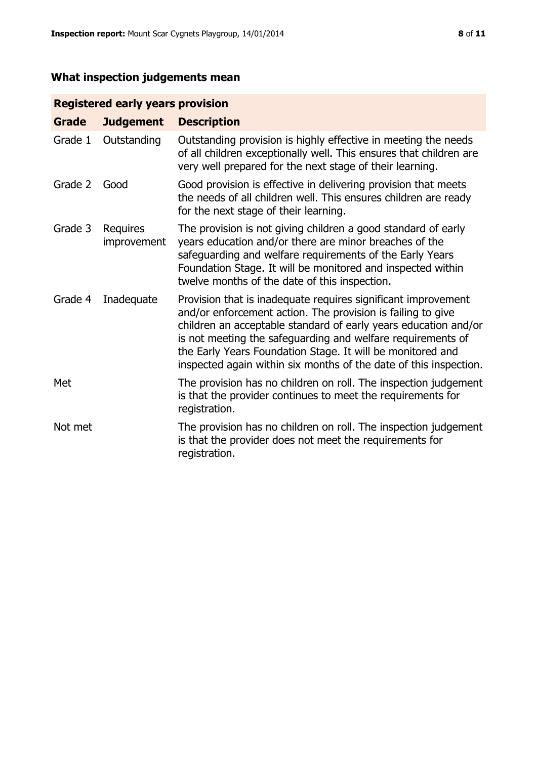# **What inspection judgements mean**

# **Registered early years provision**

| <b>Grade</b> | <b>Judgement</b>        | <b>Description</b>                                                                                                                                                                                                                                                                                                                                                                                |
|--------------|-------------------------|---------------------------------------------------------------------------------------------------------------------------------------------------------------------------------------------------------------------------------------------------------------------------------------------------------------------------------------------------------------------------------------------------|
| Grade 1      | Outstanding             | Outstanding provision is highly effective in meeting the needs<br>of all children exceptionally well. This ensures that children are<br>very well prepared for the next stage of their learning.                                                                                                                                                                                                  |
| Grade 2      | Good                    | Good provision is effective in delivering provision that meets<br>the needs of all children well. This ensures children are ready<br>for the next stage of their learning.                                                                                                                                                                                                                        |
| Grade 3      | Requires<br>improvement | The provision is not giving children a good standard of early<br>years education and/or there are minor breaches of the<br>safeguarding and welfare requirements of the Early Years<br>Foundation Stage. It will be monitored and inspected within<br>twelve months of the date of this inspection.                                                                                               |
| Grade 4      | Inadequate              | Provision that is inadequate requires significant improvement<br>and/or enforcement action. The provision is failing to give<br>children an acceptable standard of early years education and/or<br>is not meeting the safeguarding and welfare requirements of<br>the Early Years Foundation Stage. It will be monitored and<br>inspected again within six months of the date of this inspection. |
| Met          |                         | The provision has no children on roll. The inspection judgement<br>is that the provider continues to meet the requirements for<br>registration.                                                                                                                                                                                                                                                   |
| Not met      |                         | The provision has no children on roll. The inspection judgement<br>is that the provider does not meet the requirements for<br>registration.                                                                                                                                                                                                                                                       |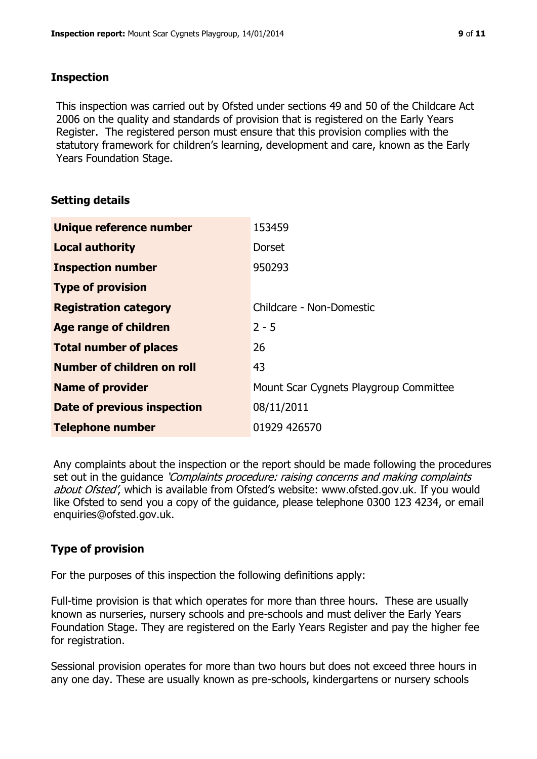#### **Inspection**

This inspection was carried out by Ofsted under sections 49 and 50 of the Childcare Act 2006 on the quality and standards of provision that is registered on the Early Years Register. The registered person must ensure that this provision complies with the statutory framework for children's learning, development and care, known as the Early Years Foundation Stage.

# **Setting details**

| Unique reference number       | 153459                                 |
|-------------------------------|----------------------------------------|
| <b>Local authority</b>        | <b>Dorset</b>                          |
| <b>Inspection number</b>      | 950293                                 |
| <b>Type of provision</b>      |                                        |
| <b>Registration category</b>  | Childcare - Non-Domestic               |
| Age range of children         | $2 - 5$                                |
| <b>Total number of places</b> | 26                                     |
| Number of children on roll    | 43                                     |
| <b>Name of provider</b>       | Mount Scar Cygnets Playgroup Committee |
| Date of previous inspection   | 08/11/2011                             |
| <b>Telephone number</b>       | 01929 426570                           |

Any complaints about the inspection or the report should be made following the procedures set out in the guidance *'Complaints procedure: raising concerns and making complaints* about Ofsted', which is available from Ofsted's website: www.ofsted.gov.uk. If you would like Ofsted to send you a copy of the guidance, please telephone 0300 123 4234, or email enquiries@ofsted.gov.uk.

# **Type of provision**

For the purposes of this inspection the following definitions apply:

Full-time provision is that which operates for more than three hours. These are usually known as nurseries, nursery schools and pre-schools and must deliver the Early Years Foundation Stage. They are registered on the Early Years Register and pay the higher fee for registration.

Sessional provision operates for more than two hours but does not exceed three hours in any one day. These are usually known as pre-schools, kindergartens or nursery schools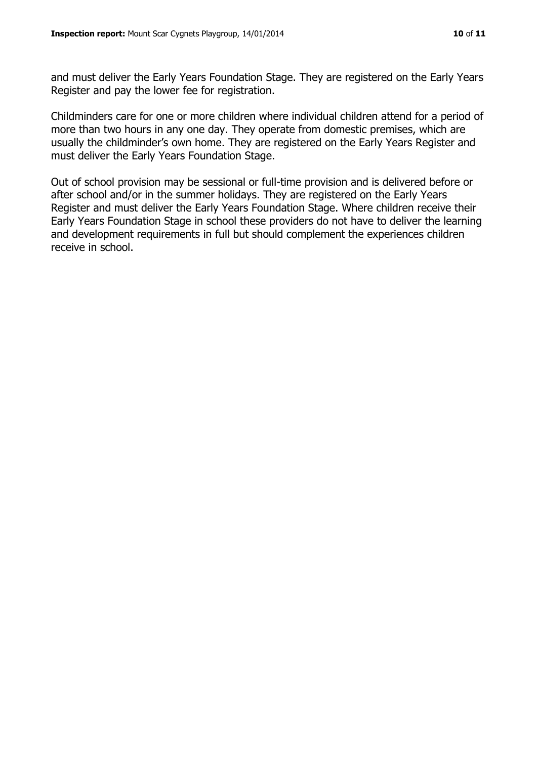and must deliver the Early Years Foundation Stage. They are registered on the Early Years Register and pay the lower fee for registration.

Childminders care for one or more children where individual children attend for a period of more than two hours in any one day. They operate from domestic premises, which are usually the childminder's own home. They are registered on the Early Years Register and must deliver the Early Years Foundation Stage.

Out of school provision may be sessional or full-time provision and is delivered before or after school and/or in the summer holidays. They are registered on the Early Years Register and must deliver the Early Years Foundation Stage. Where children receive their Early Years Foundation Stage in school these providers do not have to deliver the learning and development requirements in full but should complement the experiences children receive in school.